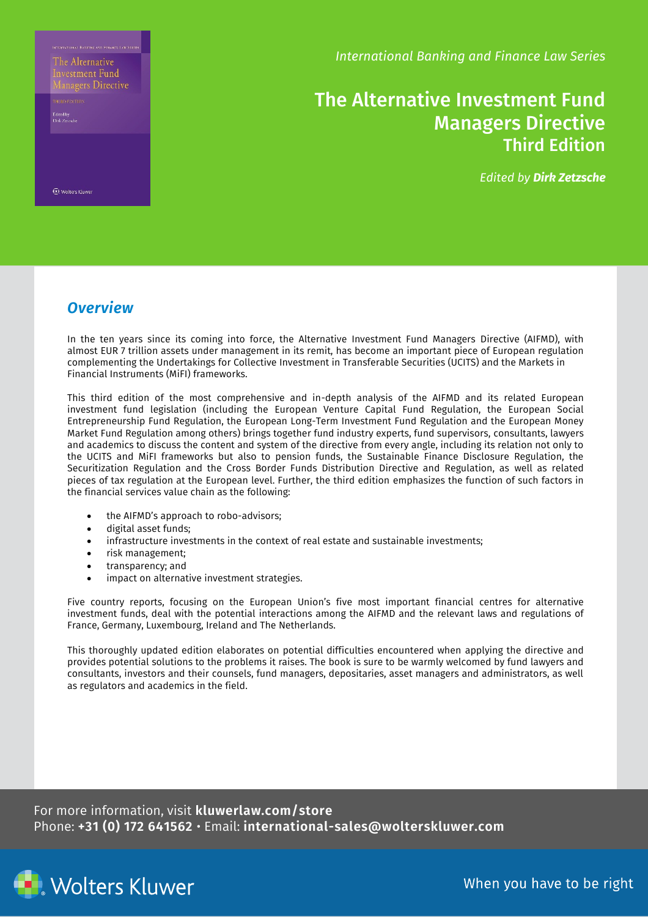The Alternative nvestment Fund

**Ed Wolters Kluwer** 

*International Banking and Finance Law Series*

## The Alternative Investment Fund Managers Directive Third Edition

*Edited by Dirk Zetzsche*

### *Overview*

In the ten years since its coming into force, the Alternative Investment Fund Managers Directive (AIFMD), with almost EUR 7 trillion assets under management in its remit, has become an important piece of European regulation complementing the Undertakings for Collective Investment in Transferable Securities (UCITS) and the Markets in Financial Instruments (MiFI) frameworks.

This third edition of the most comprehensive and in-depth analysis of the AIFMD and its related European investment fund legislation (including the European Venture Capital Fund Regulation, the European Social Entrepreneurship Fund Regulation, the European Long-Term Investment Fund Regulation and the European Money Market Fund Regulation among others) brings together fund industry experts, fund supervisors, consultants, lawyers and academics to discuss the content and system of the directive from every angle, including its relation not only to the UCITS and MiFI frameworks but also to pension funds, the Sustainable Finance Disclosure Regulation, the Securitization Regulation and the Cross Border Funds Distribution Directive and Regulation, as well as related pieces of tax regulation at the European level. Further, the third edition emphasizes the function of such factors in the financial services value chain as the following:

- the AIFMD's approach to robo-advisors;
- digital asset funds;
- infrastructure investments in the context of real estate and sustainable investments;
- risk management;
- transparency; and
- impact on alternative investment strategies.

Five country reports, focusing on the European Union's five most important financial centres for alternative investment funds, deal with the potential interactions among the AIFMD and the relevant laws and regulations of France, Germany, Luxembourg, Ireland and The Netherlands.

This thoroughly updated edition elaborates on potential difficulties encountered when applying the directive and provides potential solutions to the problems it raises. The book is sure to be warmly welcomed by fund lawyers and consultants, investors and their counsels, fund managers, depositaries, asset managers and administrators, as well as regulators and academics in the field.

For more information, visit **kluwerlaw.com/store** Phone: **+31 (0) 172 641562** • Email: **international-sales@wolterskluwer.com**



When you have to be right